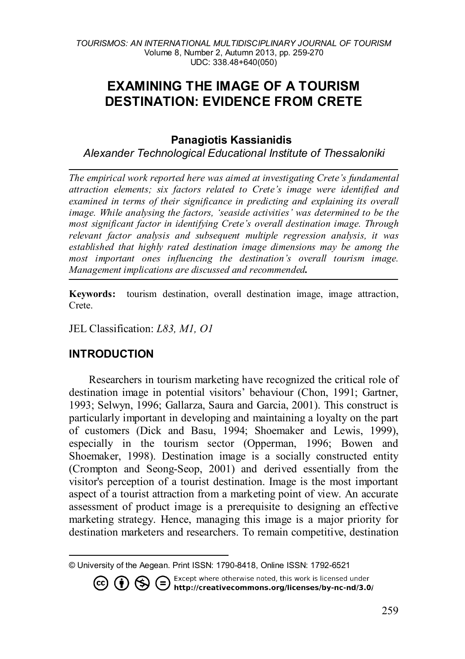# **EXAMINING THE IMAGE OF A TOURISM DESTINATION: EVIDENCE FROM CRETE**

#### **Panagiotis Kassianidis[1](#page-0-0)**

*Alexander Technological Educational Institute of Thessaloniki*

*The empirical work reported here was aimed at investigating Crete's fundamental attraction elements; six factors related to Crete's image were identified and examined in terms of their significance in predicting and explaining its overall image. While analysing the factors, 'seaside activities' was determined to be the most significant factor in identifying Crete's overall destination image. Through relevant factor analysis and subsequent multiple regression analysis, it was established that highly rated destination image dimensions may be among the most important ones influencing the destination's overall tourism image. Management implications are discussed and recommended.*

**Keywords:** tourism destination, overall destination image, image attraction, Crete.

JEL Classification: *L83, M1, O1*

# **INTRODUCTION**

Researchers in tourism marketing have recognized the critical role of destination image in potential visitors' behaviour (Chon, 1991; Gartner, 1993; Selwyn, 1996; Gallarza, Saura and Garcia, 2001). This construct is particularly important in developing and maintaining a loyalty on the part of customers (Dick and Basu, 1994; Shoemaker and Lewis, 1999), especially in the tourism sector (Opperman, 1996; Bowen and Shoemaker, 1998). Destination image is a socially constructed entity (Crompton and Seong-Seop, 2001) and derived essentially from the visitor's perception of a tourist destination. Image is the most important aspect of a tourist attraction from a marketing point of view. An accurate assessment of product image is a prerequisite to designing an effective marketing strategy. Hence, managing this image is a major priority for destination marketers and researchers. To remain competitive, destination

<span id="page-0-0"></span>© University of the Aegean. Print ISSN: 1790-8418, Online ISSN: 1792-6521

Except where otherwise noted, this work is licensed under **1 S Except where otherwise noted, this work is licensed under <b>http://creativecommons.org/licenses/by-nc-nd/3.0/**  $(cc)$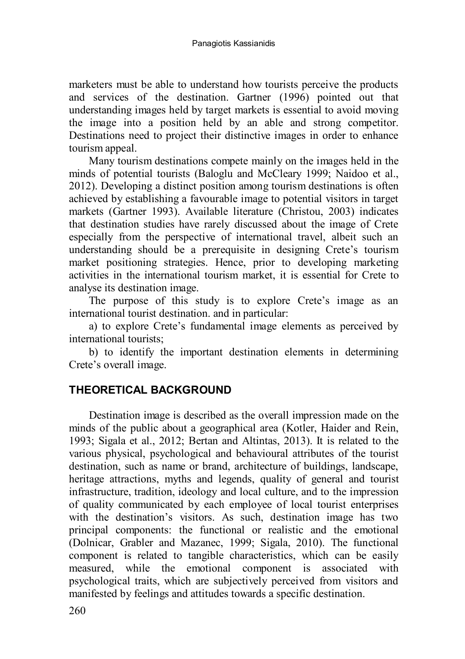marketers must be able to understand how tourists perceive the products and services of the destination. Gartner (1996) pointed out that understanding images held by target markets is essential to avoid moving the image into a position held by an able and strong competitor. Destinations need to project their distinctive images in order to enhance tourism appeal.

Many tourism destinations compete mainly on the images held in the minds of potential tourists (Baloglu and McCleary 1999; Naidoo et al., 2012). Developing a distinct position among tourism destinations is often achieved by establishing a favourable image to potential visitors in target markets (Gartner 1993). Available literature (Christou, 2003) indicates that destination studies have rarely discussed about the image of Crete especially from the perspective of international travel, albeit such an understanding should be a prerequisite in designing Crete's tourism market positioning strategies. Hence, prior to developing marketing activities in the international tourism market, it is essential for Crete to analyse its destination image.

The purpose of this study is to explore Crete's image as an international tourist destination. and in particular:

a) to explore Crete's fundamental image elements as perceived by international tourists;

b) to identify the important destination elements in determining Crete's overall image.

## **THEORETICAL BACKGROUND**

Destination image is described as the overall impression made on the minds of the public about a geographical area (Kotler, Haider and Rein, 1993; Sigala et al., 2012; Bertan and Altintas, 2013). It is related to the various physical, psychological and behavioural attributes of the tourist destination, such as name or brand, architecture of buildings, landscape, heritage attractions, myths and legends, quality of general and tourist infrastructure, tradition, ideology and local culture, and to the impression of quality communicated by each employee of local tourist enterprises with the destination's visitors. As such, destination image has two principal components: the functional or realistic and the emotional (Dolnicar, Grabler and Mazanec, 1999; Sigala, 2010). The functional component is related to tangible characteristics, which can be easily measured, while the emotional component is associated with psychological traits, which are subjectively perceived from visitors and manifested by feelings and attitudes towards a specific destination.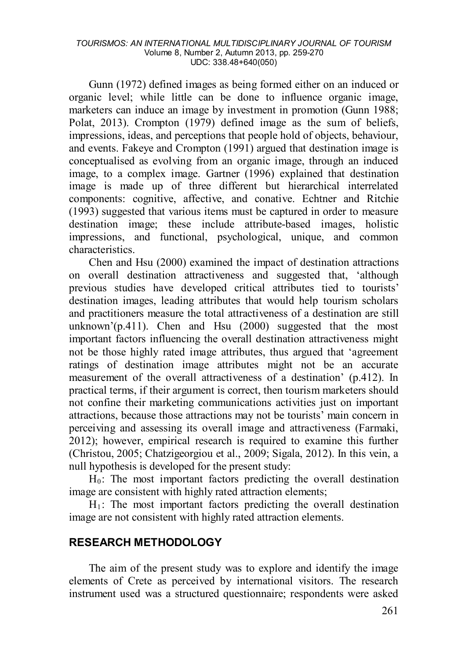#### *TOURISMOS: AN INTERNATIONAL MULTIDISCIPLINARY JOURNAL OF TOURISM* Volume 8, Number 2, Autumn 2013, pp. 259-270 UDC: 338.48+640(050)

Gunn (1972) defined images as being formed either on an induced or organic level; while little can be done to influence organic image, marketers can induce an image by investment in promotion (Gunn 1988; Polat, 2013). Crompton (1979) defined image as the sum of beliefs, impressions, ideas, and perceptions that people hold of objects, behaviour, and events. Fakeye and Crompton (1991) argued that destination image is conceptualised as evolving from an organic image, through an induced image, to a complex image. Gartner (1996) explained that destination image is made up of three different but hierarchical interrelated components: cognitive, affective, and conative. Echtner and Ritchie (1993) suggested that various items must be captured in order to measure destination image; these include attribute-based images, holistic impressions, and functional, psychological, unique, and common characteristics.

Chen and Hsu (2000) examined the impact of destination attractions on overall destination attractiveness and suggested that, 'although previous studies have developed critical attributes tied to tourists' destination images, leading attributes that would help tourism scholars and practitioners measure the total attractiveness of a destination are still unknown'(p.411). Chen and Hsu (2000) suggested that the most important factors influencing the overall destination attractiveness might not be those highly rated image attributes, thus argued that 'agreement ratings of destination image attributes might not be an accurate measurement of the overall attractiveness of a destination' (p.412). In practical terms, if their argument is correct, then tourism marketers should not confine their marketing communications activities just on important attractions, because those attractions may not be tourists' main concern in perceiving and assessing its overall image and attractiveness (Farmaki, 2012); however, empirical research is required to examine this further (Christou, 2005; Chatzigeorgiou et al., 2009; Sigala, 2012). In this vein, a null hypothesis is developed for the present study:

 $H_0$ : The most important factors predicting the overall destination image are consistent with highly rated attraction elements;

 $H_1$ : The most important factors predicting the overall destination image are not consistent with highly rated attraction elements.

#### **RESEARCH METHODOLOGY**

The aim of the present study was to explore and identify the image elements of Crete as perceived by international visitors. The research instrument used was a structured questionnaire; respondents were asked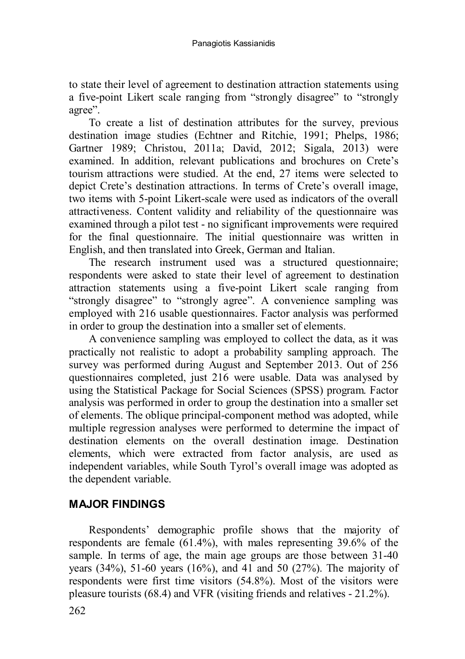to state their level of agreement to destination attraction statements using a five-point Likert scale ranging from "strongly disagree" to "strongly agree".

To create a list of destination attributes for the survey, previous destination image studies (Echtner and Ritchie, 1991; Phelps, 1986; Gartner 1989; Christou, 2011a; David, 2012; Sigala, 2013) were examined. In addition, relevant publications and brochures on Crete's tourism attractions were studied. At the end, 27 items were selected to depict Crete's destination attractions. In terms of Crete's overall image, two items with 5-point Likert-scale were used as indicators of the overall attractiveness. Content validity and reliability of the questionnaire was examined through a pilot test - no significant improvements were required for the final questionnaire. The initial questionnaire was written in English, and then translated into Greek, German and Italian.

The research instrument used was a structured questionnaire; respondents were asked to state their level of agreement to destination attraction statements using a five-point Likert scale ranging from "strongly disagree" to "strongly agree". A convenience sampling was employed with 216 usable questionnaires. Factor analysis was performed in order to group the destination into a smaller set of elements.

A convenience sampling was employed to collect the data, as it was practically not realistic to adopt a probability sampling approach. The survey was performed during August and September 2013. Out of 256 questionnaires completed, just 216 were usable. Data was analysed by using the Statistical Package for Social Sciences (SPSS) program. Factor analysis was performed in order to group the destination into a smaller set of elements. The oblique principal-component method was adopted, while multiple regression analyses were performed to determine the impact of destination elements on the overall destination image. Destination elements, which were extracted from factor analysis, are used as independent variables, while South Tyrol's overall image was adopted as the dependent variable.

## **MAJOR FINDINGS**

Respondents' demographic profile shows that the majority of respondents are female (61.4%), with males representing 39.6% of the sample. In terms of age, the main age groups are those between 31-40 years  $(34\%)$ , 51-60 years  $(16\%)$ , and 41 and 50  $(27\%)$ . The majority of respondents were first time visitors (54.8%). Most of the visitors were pleasure tourists (68.4) and VFR (visiting friends and relatives - 21.2%).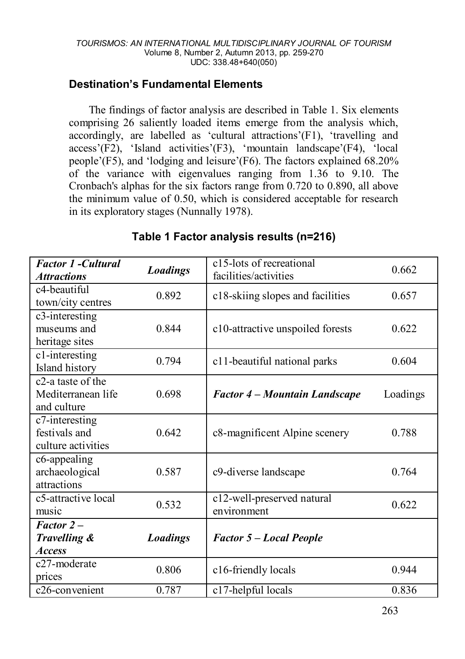#### **Destination's Fundamental Elements**

The findings of factor analysis are described in Table 1. Six elements comprising 26 saliently loaded items emerge from the analysis which, accordingly, are labelled as 'cultural attractions'(F1), 'travelling and access'(F2), 'Island activities'(F3), 'mountain landscape'(F4), 'local people'(F5), and 'lodging and leisure'(F6). The factors explained 68.20% of the variance with eigenvalues ranging from 1.36 to 9.10. The Cronbach's alphas for the six factors range from 0.720 to 0.890, all above the minimum value of 0.50, which is considered acceptable for research in its exploratory stages (Nunnally 1978).

| <b>Factor 1 -Cultural</b>      |                 | c15-lots of recreational             | 0.662    |  |
|--------------------------------|-----------------|--------------------------------------|----------|--|
| <b>Attractions</b>             | <b>Loadings</b> | facilities/activities                |          |  |
| c4-beautiful                   | 0.892           | c18-skiing slopes and facilities     | 0.657    |  |
| town/city centres              |                 |                                      |          |  |
| c3-interesting                 |                 |                                      |          |  |
| museums and                    | 0.844           | c10-attractive unspoiled forests     | 0.622    |  |
| heritage sites                 |                 |                                      |          |  |
| c1-interesting                 | 0.794           | c11-beautiful national parks         | 0.604    |  |
| Island history                 |                 |                                      |          |  |
| c <sub>2</sub> -a taste of the |                 |                                      |          |  |
| Mediterranean life             | 0.698           | <b>Factor 4 – Mountain Landscape</b> | Loadings |  |
| and culture                    |                 |                                      |          |  |
| c7-interesting                 |                 |                                      |          |  |
| festivals and                  | 0.642           | c8-magnificent Alpine scenery        | 0.788    |  |
| culture activities             |                 |                                      |          |  |
| c6-appealing                   |                 |                                      |          |  |
| archaeological                 | 0.587           | c9-diverse landscape                 | 0.764    |  |
| attractions                    |                 |                                      |          |  |
| c5-attractive local            | 0.532           | c12-well-preserved natural           | 0.622    |  |
| music                          |                 | environment                          |          |  |
| $Factor 2 -$                   |                 |                                      |          |  |
| Travelling &                   | <b>Loadings</b> | <b>Factor 5 – Local People</b>       |          |  |
| <b>Access</b>                  |                 |                                      |          |  |
| c <sub>27</sub> -moderate      | 0.806           | c16-friendly locals                  | 0.944    |  |
| prices                         |                 |                                      |          |  |
| c <sub>26</sub> -convenient    | 0.787           | c17-helpful locals                   | 0.836    |  |

### **Table 1 Factor analysis results (n=216)**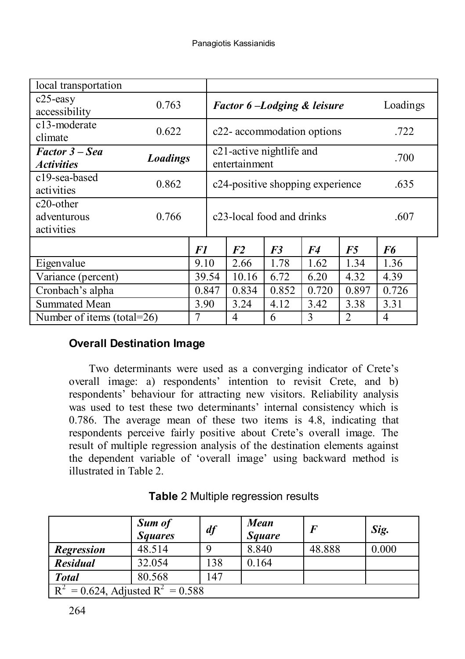| local transportation                                |                 |       |                                        |                                                        |       |       |                |          |  |
|-----------------------------------------------------|-----------------|-------|----------------------------------------|--------------------------------------------------------|-------|-------|----------------|----------|--|
| $c25$ -easy<br>accessibility                        | 0.763           |       | <b>Factor 6-Lodging &amp; leisure</b>  |                                                        |       |       |                | Loadings |  |
| c13-moderate<br>climate                             | 0.622           |       | c22- accommodation options             |                                                        |       |       |                | .722     |  |
| <b>Factor 3 – Sea</b><br><i><b>Activities</b></i>   | <b>Loadings</b> |       |                                        | c <sub>21</sub> -active nightlife and<br>entertainment | .700  |       |                |          |  |
| c19-sea-based<br>activities                         | 0.862           |       |                                        | c24-positive shopping experience                       |       | .635  |                |          |  |
| c <sub>20</sub> -other<br>adventurous<br>activities | 0.766           |       | c <sub>23</sub> -local food and drinks |                                                        |       |       |                | .607     |  |
|                                                     |                 | F1    |                                        | F <sub>2</sub>                                         | F3    | F4    | F5             | F6       |  |
| Eigenvalue                                          |                 | 9.10  |                                        | 2.66                                                   | 1.78  | 1.62  | 1.34           | 1.36     |  |
| Variance (percent)                                  |                 |       | 39.54                                  | 10.16                                                  | 6.72  | 6.20  | 4.32           | 4.39     |  |
| Cronbach's alpha                                    |                 | 0.847 |                                        | 0.834                                                  | 0.852 | 0.720 | 0.897          | 0.726    |  |
| Summated Mean                                       | 3.90            |       |                                        | 3.24                                                   | 4.12  | 3.42  | 3.38           | 3.31     |  |
| Number of items (total=26)                          |                 | 7     |                                        | 4                                                      | 6     | 3     | $\overline{c}$ | 4        |  |

## **Overall Destination Image**

Two determinants were used as a converging indicator of Crete's overall image: a) respondents' intention to revisit Crete, and b) respondents' behaviour for attracting new visitors. Reliability analysis was used to test these two determinants' internal consistency which is 0.786. The average mean of these two items is 4.8, indicating that respondents perceive fairly positive about Crete's overall image. The result of multiple regression analysis of the destination elements against the dependent variable of 'overall image' using backward method is illustrated in Table 2.

|                                        | <b>Sum of</b><br><b>Squares</b> | df  | <b>Mean</b><br><b>Square</b> |        | Sig.  |  |
|----------------------------------------|---------------------------------|-----|------------------------------|--------|-------|--|
| <b>Regression</b>                      | 48.514                          |     | 8.840                        | 48.888 | 0.000 |  |
| <b>Residual</b>                        | 32.054                          | 138 | 0.164                        |        |       |  |
| <b>Total</b>                           | 80.568                          | 147 |                              |        |       |  |
| $R^2 = 0.624$ , Adjusted $R^2 = 0.588$ |                                 |     |                              |        |       |  |

# **Table** 2 Multiple regression results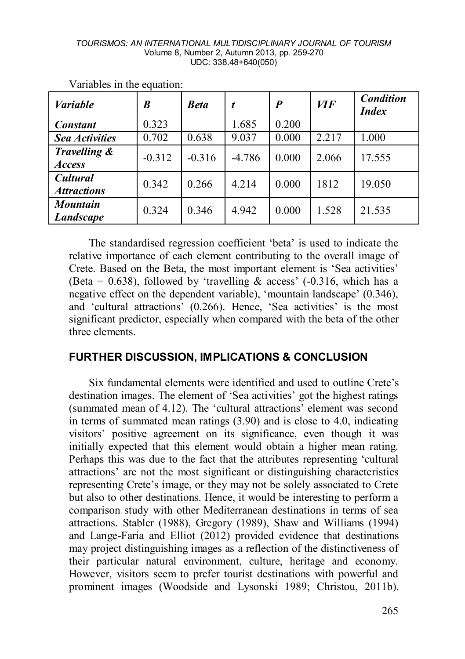#### *TOURISMOS: AN INTERNATIONAL MULTIDISCIPLINARY JOURNAL OF TOURISM* Volume 8, Number 2, Autumn 2013, pp. 259-270 UDC: 338.48+640(050)

| <b>Variable</b>                       | B        | <b>Beta</b> | t        | $\boldsymbol{P}$ | <b>VIF</b> | Condition<br><i>Index</i> |
|---------------------------------------|----------|-------------|----------|------------------|------------|---------------------------|
| <b>Constant</b>                       | 0.323    |             | 1.685    | 0.200            |            |                           |
| <b>Sea Activities</b>                 | 0.702    | 0.638       | 9.037    | 0.000            | 2.217      | 1.000                     |
| Travelling &<br><b>Access</b>         | $-0.312$ | $-0.316$    | $-4.786$ | 0.000            | 2.066      | 17.555                    |
| <b>Cultural</b><br><b>Attractions</b> | 0.342    | 0.266       | 4.214    | 0.000            | 1812       | 19.050                    |
| <b>Mountain</b><br><b>Landscape</b>   | 0.324    | 0.346       | 4.942    | 0.000            | 1.528      | 21.535                    |

Variables in the equation:

The standardised regression coefficient 'beta' is used to indicate the relative importance of each element contributing to the overall image of Crete. Based on the Beta, the most important element is 'Sea activities' (Beta = 0.638), followed by 'travelling  $\&$  access' (-0.316, which has a negative effect on the dependent variable), 'mountain landscape' (0.346), and 'cultural attractions' (0.266). Hence, 'Sea activities' is the most significant predictor, especially when compared with the beta of the other three elements.

#### **FURTHER DISCUSSION, IMPLICATIONS & CONCLUSION**

Six fundamental elements were identified and used to outline Crete's destination images. The element of 'Sea activities' got the highest ratings (summated mean of 4.12). The 'cultural attractions' element was second in terms of summated mean ratings (3.90) and is close to 4.0, indicating visitors' positive agreement on its significance, even though it was initially expected that this element would obtain a higher mean rating. Perhaps this was due to the fact that the attributes representing 'cultural attractions' are not the most significant or distinguishing characteristics representing Crete's image, or they may not be solely associated to Crete but also to other destinations. Hence, it would be interesting to perform a comparison study with other Mediterranean destinations in terms of sea attractions. Stabler (1988), Gregory (1989), Shaw and Williams (1994) and Lange-Faria and Elliot (2012) provided evidence that destinations may project distinguishing images as a reflection of the distinctiveness of their particular natural environment, culture, heritage and economy. However, visitors seem to prefer tourist destinations with powerful and prominent images (Woodside and Lysonski 1989; Christou, 2011b).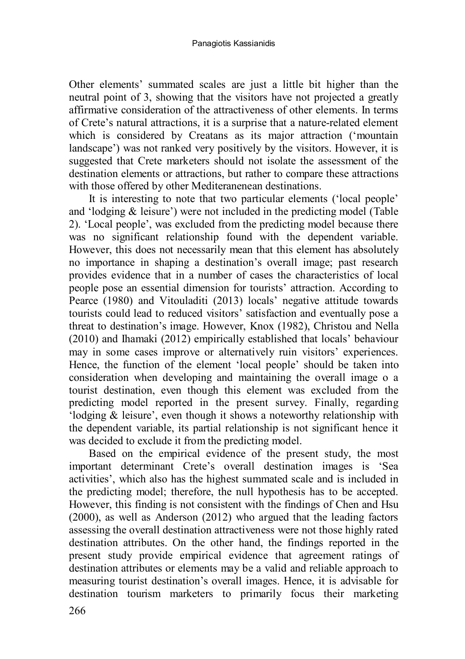Other elements' summated scales are just a little bit higher than the neutral point of 3, showing that the visitors have not projected a greatly affirmative consideration of the attractiveness of other elements. In terms of Crete's natural attractions, it is a surprise that a nature-related element which is considered by Creatans as its major attraction ('mountain landscape') was not ranked very positively by the visitors. However, it is suggested that Crete marketers should not isolate the assessment of the destination elements or attractions, but rather to compare these attractions with those offered by other Mediteranenean destinations.

It is interesting to note that two particular elements ('local people' and 'lodging & leisure') were not included in the predicting model (Table 2). 'Local people', was excluded from the predicting model because there was no significant relationship found with the dependent variable. However, this does not necessarily mean that this element has absolutely no importance in shaping a destination's overall image; past research provides evidence that in a number of cases the characteristics of local people pose an essential dimension for tourists' attraction. According to Pearce (1980) and Vitouladiti (2013) locals' negative attitude towards tourists could lead to reduced visitors' satisfaction and eventually pose a threat to destination's image. However, Knox (1982), Christou and Nella (2010) and Ihamaki (2012) empirically established that locals' behaviour may in some cases improve or alternatively ruin visitors' experiences. Hence, the function of the element 'local people' should be taken into consideration when developing and maintaining the overall image o a tourist destination, even though this element was excluded from the predicting model reported in the present survey. Finally, regarding 'lodging & leisure', even though it shows a noteworthy relationship with the dependent variable, its partial relationship is not significant hence it was decided to exclude it from the predicting model.

Based on the empirical evidence of the present study, the most important determinant Crete's overall destination images is 'Sea activities', which also has the highest summated scale and is included in the predicting model; therefore, the null hypothesis has to be accepted. However, this finding is not consistent with the findings of Chen and Hsu (2000), as well as Anderson (2012) who argued that the leading factors assessing the overall destination attractiveness were not those highly rated destination attributes. On the other hand, the findings reported in the present study provide empirical evidence that agreement ratings of destination attributes or elements may be a valid and reliable approach to measuring tourist destination's overall images. Hence, it is advisable for destination tourism marketers to primarily focus their marketing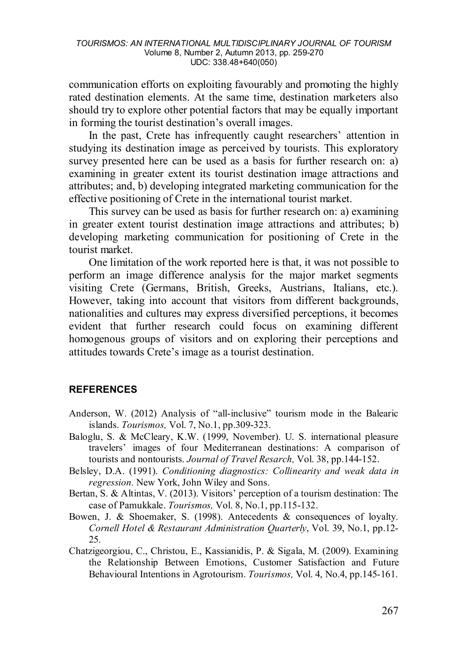communication efforts on exploiting favourably and promoting the highly rated destination elements. At the same time, destination marketers also should try to explore other potential factors that may be equally important in forming the tourist destination's overall images.

In the past, Crete has infrequently caught researchers' attention in studying its destination image as perceived by tourists. This exploratory survey presented here can be used as a basis for further research on: a) examining in greater extent its tourist destination image attractions and attributes; and, b) developing integrated marketing communication for the effective positioning of Crete in the international tourist market.

This survey can be used as basis for further research on: a) examining in greater extent tourist destination image attractions and attributes; b) developing marketing communication for positioning of Crete in the tourist market.

One limitation of the work reported here is that, it was not possible to perform an image difference analysis for the major market segments visiting Crete (Germans, British, Greeks, Austrians, Italians, etc.). However, taking into account that visitors from different backgrounds, nationalities and cultures may express diversified perceptions, it becomes evident that further research could focus on examining different homogenous groups of visitors and on exploring their perceptions and attitudes towards Crete's image as a tourist destination.

#### **REFERENCES**

- Anderson, W. (2012) Analysis of "all-inclusive" tourism mode in the Balearic islands. *Tourismos,* Vol. 7, No.1, pp.309-323.
- Baloglu, S. & McCleary, K.W. (1999, November). U. S. international pleasure travelers' images of four Mediterranean destinations: A comparison of tourists and nontourists. *Journal of Travel Resarch,* Vol. 38, pp.144-152.
- Belsley, D.A. (1991). *Conditioning diagnostics: Collinearity and weak data in regression.* New York, John Wiley and Sons.
- Bertan, S. & Altintas, V. (2013). Visitors' perception of a tourism destination: The case of Pamukkale. *Tourismos,* Vol. 8, No.1, pp.115-132.
- Bowen, J. & Shoemaker, S. (1998). Antecedents & consequences of loyalty*. Cornell Hotel & Restaurant Administration Quarterly*, Vol. 39, No.1, pp.12- 25.
- Chatzigeorgiou, C., Christou, E., Kassianidis, P. & Sigala, M. (2009). Examining the Relationship Between Emotions, Customer Satisfaction and Future Behavioural Intentions in Agrotourism. *Tourismos,* Vol. 4, No.4, pp.145-161.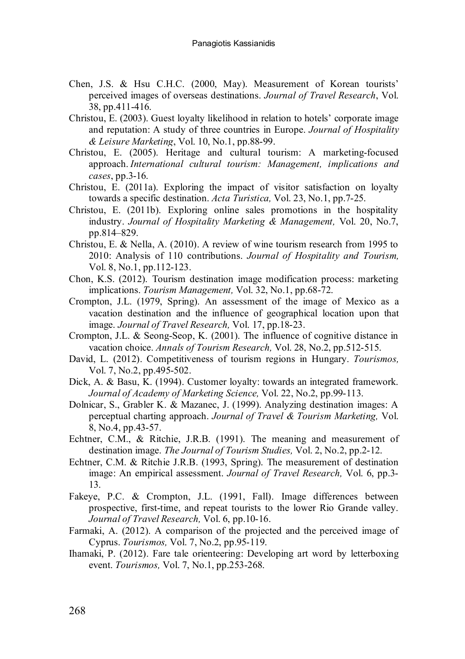- Chen, J.S. & Hsu C.H.C. (2000, May). Measurement of Korean tourists' perceived images of overseas destinations. *Journal of Travel Research*, Vol. 38, pp.411-416.
- Christou, E. (2003). Guest loyalty likelihood in relation to hotels' corporate image and reputation: A study of three countries in Europe. *Journal of Hospitality & Leisure Marketing*, Vol. 10, No.1, pp.88-99.
- Christou, E. (2005). Heritage and cultural tourism: A marketing-focused approach. *International cultural tourism: Management, implications and cases*, pp.3-16.
- Christou, E. (2011a). Exploring the impact of visitor satisfaction on loyalty towards a specific destination. *Acta Turistica,* Vol. 23, No.1, pp.7-25.
- Christou, E. (2011b). Exploring online sales promotions in the hospitality industry. *Journal of Hospitality Marketing & Management,* Vol. 20, No.7, pp.814–829.
- Christou, E. & Nella, A. (2010). A review of wine tourism research from 1995 to 2010: Analysis of 110 contributions. *Journal of Hospitality and Tourism,*  Vol. 8, No.1, pp.112-123.
- Chon, K.S. (2012). Tourism destination image modification process: marketing implications. *Tourism Management,* Vol. 32, No.1, pp.68-72.
- Crompton, J.L. (1979, Spring). An assessment of the image of Mexico as a vacation destination and the influence of geographical location upon that image. *Journal of Travel Research,* Vol. 17, pp.18-23.
- Crompton, J.L. & Seong-Seop, K. (2001). The influence of cognitive distance in vacation choice. *Annals of Tourism Research,* Vol. 28, No.2, pp.512-515.
- David, L. (2012). Competitiveness of tourism regions in Hungary. *Tourismos,*  Vol. 7, No.2, pp.495-502.
- Dick, A. & Basu, K. (1994). Customer loyalty: towards an integrated framework. *Journal of Academy of Marketing Science,* Vol. 22, No.2, pp.99-113.
- Dolnicar, S., Grabler K. & Mazanec, J. (1999). Analyzing destination images: A perceptual charting approach. *Journal of Travel & Tourism Marketing,* Vol. 8, No.4, pp.43-57.
- Echtner, C.M., & Ritchie, J.R.B. (1991). The meaning and measurement of destination image. *The Journal of Tourism Studies,* Vol. 2, No.2, pp.2-12.
- Echtner, C.M. & Ritchie J.R.B. (1993, Spring). The measurement of destination image: An empirical assessment. *Journal of Travel Research,* Vol. 6, pp.3- 13.
- Fakeye, P.C. & Crompton, J.L. (1991, Fall). Image differences between prospective, first-time, and repeat tourists to the lower Rio Grande valley. *Journal of Travel Research,* Vol. 6, pp.10-16.
- Farmaki, A. (2012). A comparison of the projected and the perceived image of Cyprus. *Tourismos,* Vol. 7, No.2, pp.95-119.
- Ihamaki, P. (2012). Fare tale orienteering: Developing art word by letterboxing event. *Tourismos,* Vol. 7, No.1, pp.253-268.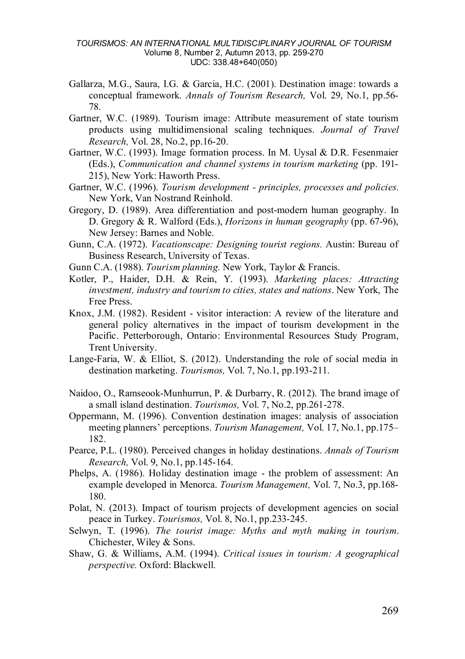#### *TOURISMOS: AN INTERNATIONAL MULTIDISCIPLINARY JOURNAL OF TOURISM* Volume 8, Number 2, Autumn 2013, pp. 259-270 UDC: 338.48+640(050)

- Gallarza, M.G., Saura, I.G. & Garcia, H.C. (2001). Destination image: towards a conceptual framework. *Annals of Tourism Research,* Vol. 29, No.1, pp.56- 78.
- Gartner, W.C. (1989). Tourism image: Attribute measurement of state tourism products using multidimensional scaling techniques. *Journal of Travel Research,* Vol. 28, No.2, pp.16-20.
- Gartner, W.C. (1993). Image formation process. In M. Uysal & D.R. Fesenmaier (Eds.), *Communication and channel systems in tourism marketing* (pp. 191-215), New York: Haworth Press.
- Gartner, W.C. (1996). *Tourism development - principles, processes and policies.* New York, Van Nostrand Reinhold.
- Gregory, D. (1989). Area differentiation and post-modern human geography. In D. Gregory & R. Walford (Eds.), *Horizons in human geography* (pp. 67-96), New Jersey: Barnes and Noble.
- Gunn, C.A. (1972). *Vacationscape: Designing tourist regions.* Austin: Bureau of Business Research, University of Texas.
- Gunn C.A. (1988). *Tourism planning.* New York, Taylor & Francis.
- Kotler, P., Haider, D.H. & Rein, Y. (1993). *Marketing places: Attracting investment, industry and tourism to cities, states and nations*. New York, The Free Press.
- Knox, J.M. (1982). Resident visitor interaction: A review of the literature and general policy alternatives in the impact of tourism development in the Pacific. Petterborough, Ontario: Environmental Resources Study Program, Trent University.
- Lange-Faria, W. & Elliot, S. (2012). Understanding the role of social media in destination marketing. *Tourismos,* Vol. 7, No.1, pp.193-211.
- Naidoo, O., Ramseook-Munhurrun, P. & Durbarry, R. (2012). The brand image of a small island destination. *Tourismos,* Vol. 7, No.2, pp.261-278.
- Oppermann, M. (1996). Convention destination images: analysis of association meeting planners' perceptions. *Tourism Management,* Vol. 17, No.1, pp.175– 182.
- Pearce, P.L. (1980). Perceived changes in holiday destinations. *Annals of Tourism Research,* Vol. 9, No.1, pp.145-164.
- Phelps, A. (1986). Holiday destination image the problem of assessment: An example developed in Menorca. *Tourism Management,* Vol. 7, No.3, pp.168- 180.
- Polat, N. (2013). Impact of tourism projects of development agencies on social peace in Turkey. *Tourismos,* Vol. 8, No.1, pp.233-245.
- Selwyn, T. (1996). *The tourist image: Myths and myth making in tourism*. Chichester, Wiley & Sons.
- Shaw, G. & Williams, A.M. (1994). *Critical issues in tourism: A geographical perspective.* Oxford: Blackwell.